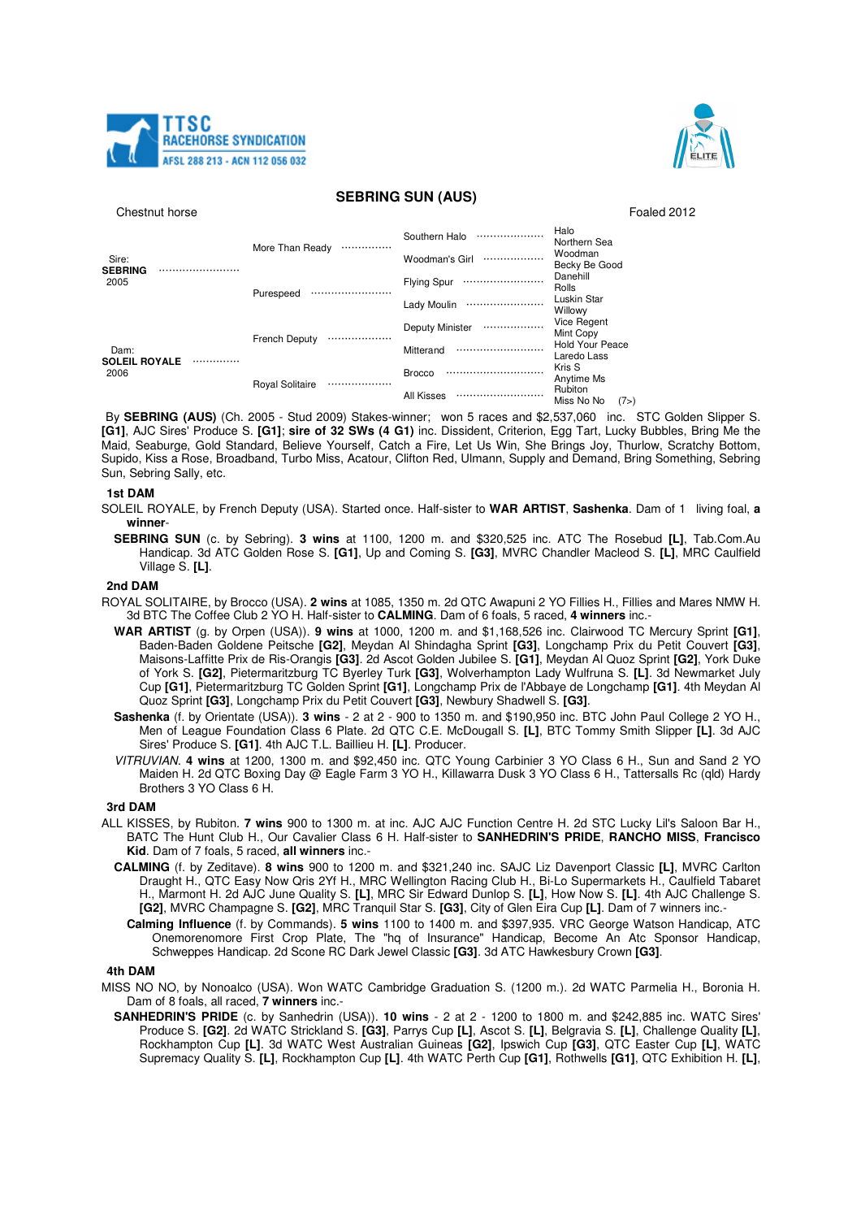



# **SEBRING SUN (AUS)**

Chestnut horse **Foaled 2012** 

| Sire:<br><b>SEBRING</b><br>2005 |  | More Than Ready        |   | Southern Halo      | <br>Halo<br>Northern Sea                  |      |
|---------------------------------|--|------------------------|---|--------------------|-------------------------------------------|------|
|                                 |  |                        |   | Woodman's Girl     | <br>Woodman<br>Becky Be Good              |      |
|                                 |  | Purespeed              |   | <b>Flying Spur</b> | <br>Danehill<br>Rolls                     |      |
|                                 |  |                        |   | Lady Moulin        | <br>Luskin Star<br>Willowy                |      |
|                                 |  | <b>French Deputy</b>   |   | Deputy Minister    | <br>Vice Regent<br>Mint Copy              |      |
| Dam:                            |  |                        |   | Mitterand          | <br><b>Hold Your Peace</b><br>Laredo Lass |      |
| <b>SOLEIL ROYALE</b><br>2006    |  | <b>Royal Solitaire</b> | . | <b>Brocco</b>      | <br>Kris S<br>Anytime Ms                  |      |
|                                 |  |                        |   | <b>All Kisses</b>  | Rubiton<br>Miss No No                     | (7>) |

By **SEBRING (AUS)** (Ch. 2005 - Stud 2009) Stakes-winner; won 5 races and \$2,537,060 inc. STC Golden Slipper S. **[G1]**, AJC Sires' Produce S. **[G1]**; **sire of 32 SWs (4 G1)** inc. Dissident, Criterion, Egg Tart, Lucky Bubbles, Bring Me the Maid, Seaburge, Gold Standard, Believe Yourself, Catch a Fire, Let Us Win, She Brings Joy, Thurlow, Scratchy Bottom, Supido, Kiss a Rose, Broadband, Turbo Miss, Acatour, Clifton Red, Ulmann, Supply and Demand, Bring Something, Sebring Sun, Sebring Sally, etc.

#### **1st DAM**

- SOLEIL ROYALE, by French Deputy (USA). Started once. Half-sister to **WAR ARTIST**, **Sashenka**. Dam of 1 living foal, **a winner**-
	- **SEBRING SUN** (c. by Sebring). **3 wins** at 1100, 1200 m. and \$320,525 inc. ATC The Rosebud **[L]**, Tab.Com.Au Handicap. 3d ATC Golden Rose S. **[G1]**, Up and Coming S. **[G3]**, MVRC Chandler Macleod S. **[L]**, MRC Caulfield Village S. **[L]**.

## **2nd DAM**

- ROYAL SOLITAIRE, by Brocco (USA). **2 wins** at 1085, 1350 m. 2d QTC Awapuni 2 YO Fillies H., Fillies and Mares NMW H. 3d BTC The Coffee Club 2 YO H. Half-sister to **CALMING**. Dam of 6 foals, 5 raced, **4 winners** inc.-
	- **WAR ARTIST** (g. by Orpen (USA)). **9 wins** at 1000, 1200 m. and \$1,168,526 inc. Clairwood TC Mercury Sprint **[G1]**, Baden-Baden Goldene Peitsche **[G2]**, Meydan Al Shindagha Sprint **[G3]**, Longchamp Prix du Petit Couvert **[G3]**, Maisons-Laffitte Prix de Ris-Orangis **[G3]**. 2d Ascot Golden Jubilee S. **[G1]**, Meydan Al Quoz Sprint **[G2]**, York Duke of York S. **[G2]**, Pietermaritzburg TC Byerley Turk **[G3]**, Wolverhampton Lady Wulfruna S. **[L]**. 3d Newmarket July Cup **[G1]**, Pietermaritzburg TC Golden Sprint **[G1]**, Longchamp Prix de l'Abbaye de Longchamp **[G1]**. 4th Meydan Al Quoz Sprint **[G3]**, Longchamp Prix du Petit Couvert **[G3]**, Newbury Shadwell S. **[G3]**.
	- **Sashenka** (f. by Orientate (USA)). **3 wins**  2 at 2 900 to 1350 m. and \$190,950 inc. BTC John Paul College 2 YO H., Men of League Foundation Class 6 Plate. 2d QTC C.E. McDougall S. **[L]**, BTC Tommy Smith Slipper **[L]**. 3d AJC Sires' Produce S. **[G1]**. 4th AJC T.L. Baillieu H. **[L]**. Producer.
	- VITRUVIAN. **4 wins** at 1200, 1300 m. and \$92,450 inc. QTC Young Carbinier 3 YO Class 6 H., Sun and Sand 2 YO Maiden H. 2d QTC Boxing Day @ Eagle Farm 3 YO H., Killawarra Dusk 3 YO Class 6 H., Tattersalls Rc (qld) Hardy Brothers 3 YO Class 6 H.

#### **3rd DAM**

- ALL KISSES, by Rubiton. **7 wins** 900 to 1300 m. at inc. AJC AJC Function Centre H. 2d STC Lucky Lil's Saloon Bar H., BATC The Hunt Club H., Our Cavalier Class 6 H. Half-sister to **SANHEDRIN'S PRIDE**, **RANCHO MISS**, **Francisco Kid**. Dam of 7 foals, 5 raced, **all winners** inc.-
	- **CALMING** (f. by Zeditave). **8 wins** 900 to 1200 m. and \$321,240 inc. SAJC Liz Davenport Classic **[L]**, MVRC Carlton Draught H., QTC Easy Now Qris 2Yf H., MRC Wellington Racing Club H., Bi-Lo Supermarkets H., Caulfield Tabaret H., Marmont H. 2d AJC June Quality S. **[L]**, MRC Sir Edward Dunlop S. **[L]**, How Now S. **[L]**. 4th AJC Challenge S. **[G2]**, MVRC Champagne S. **[G2]**, MRC Tranquil Star S. **[G3]**, City of Glen Eira Cup **[L]**. Dam of 7 winners inc.-
		- **Calming Influence** (f. by Commands). **5 wins** 1100 to 1400 m. and \$397,935. VRC George Watson Handicap, ATC Onemorenomore First Crop Plate, The "hq of Insurance" Handicap, Become An Atc Sponsor Handicap, Schweppes Handicap. 2d Scone RC Dark Jewel Classic **[G3]**. 3d ATC Hawkesbury Crown **[G3]**.

## **4th DAM**

- MISS NO NO, by Nonoalco (USA). Won WATC Cambridge Graduation S. (1200 m.). 2d WATC Parmelia H., Boronia H. Dam of 8 foals, all raced, **7 winners** inc.-
	- **SANHEDRIN'S PRIDE** (c. by Sanhedrin (USA)). **10 wins**  2 at 2 1200 to 1800 m. and \$242,885 inc. WATC Sires' Produce S. **[G2]**. 2d WATC Strickland S. **[G3]**, Parrys Cup **[L]**, Ascot S. **[L]**, Belgravia S. **[L]**, Challenge Quality **[L]**, Rockhampton Cup **[L]**. 3d WATC West Australian Guineas **[G2]**, Ipswich Cup **[G3]**, QTC Easter Cup **[L]**, WATC Supremacy Quality S. **[L]**, Rockhampton Cup **[L]**. 4th WATC Perth Cup **[G1]**, Rothwells **[G1]**, QTC Exhibition H. **[L]**,